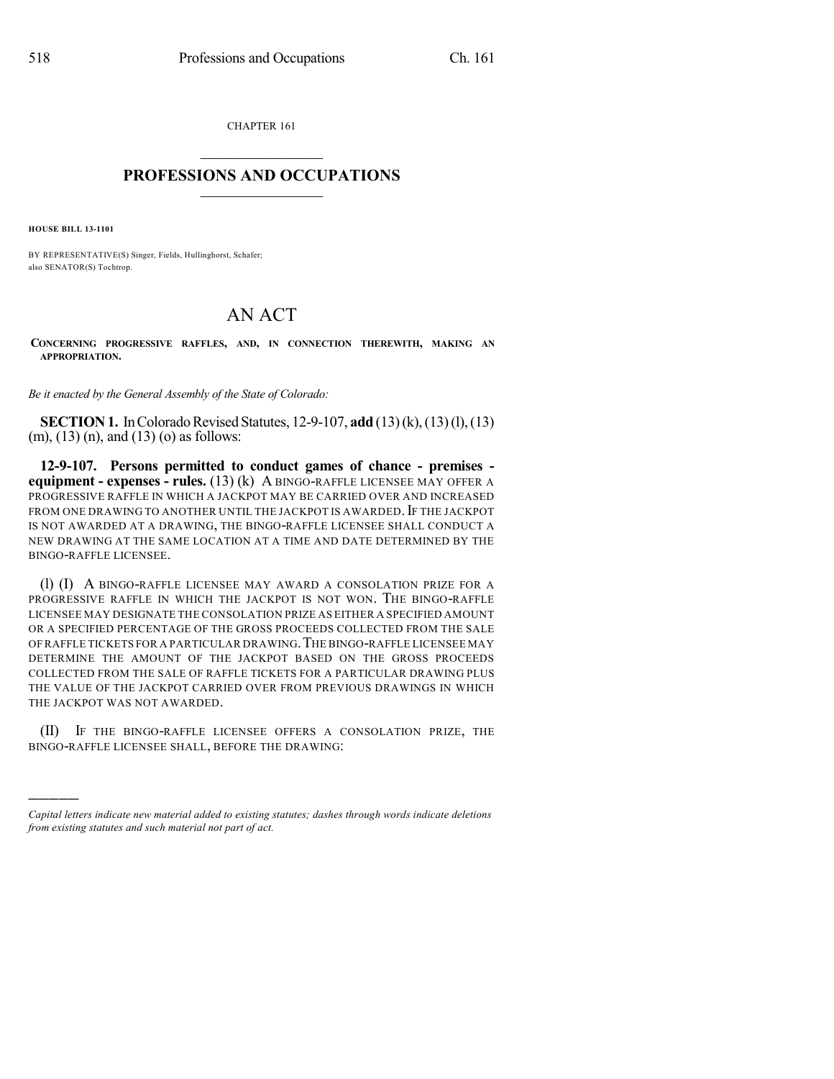CHAPTER 161

## $\overline{\phantom{a}}$  . The set of the set of the set of the set of the set of the set of the set of the set of the set of the set of the set of the set of the set of the set of the set of the set of the set of the set of the set o **PROFESSIONS AND OCCUPATIONS**  $\frac{1}{2}$  ,  $\frac{1}{2}$  ,  $\frac{1}{2}$  ,  $\frac{1}{2}$  ,  $\frac{1}{2}$  ,  $\frac{1}{2}$

**HOUSE BILL 13-1101**

)))))

BY REPRESENTATIVE(S) Singer, Fields, Hullinghorst, Schafer; also SENATOR(S) Tochtrop.

## AN ACT

**CONCERNING PROGRESSIVE RAFFLES, AND, IN CONNECTION THEREWITH, MAKING AN APPROPRIATION.**

*Be it enacted by the General Assembly of the State of Colorado:*

**SECTION 1.** In Colorado Revised Statutes, 12-9-107, **add** (13)(k),(13)(l),(13) (m), (13) (n), and (13) (o) as follows:

**12-9-107. Persons permitted to conduct games of chance - premises equipment - expenses - rules.** (13) (k) A BINGO-RAFFLE LICENSEE MAY OFFER A PROGRESSIVE RAFFLE IN WHICH A JACKPOT MAY BE CARRIED OVER AND INCREASED FROM ONE DRAWING TO ANOTHER UNTIL THE JACKPOT IS AWARDED. IF THE JACKPOT IS NOT AWARDED AT A DRAWING, THE BINGO-RAFFLE LICENSEE SHALL CONDUCT A NEW DRAWING AT THE SAME LOCATION AT A TIME AND DATE DETERMINED BY THE BINGO-RAFFLE LICENSEE.

(l) (I) A BINGO-RAFFLE LICENSEE MAY AWARD A CONSOLATION PRIZE FOR A PROGRESSIVE RAFFLE IN WHICH THE JACKPOT IS NOT WON. THE BINGO-RAFFLE LICENSEE MAY DESIGNATE THE CONSOLATION PRIZE AS EITHER A SPECIFIED AMOUNT OR A SPECIFIED PERCENTAGE OF THE GROSS PROCEEDS COLLECTED FROM THE SALE OF RAFFLE TICKETS FOR A PARTICULAR DRAWING.THE BINGO-RAFFLE LICENSEE MAY DETERMINE THE AMOUNT OF THE JACKPOT BASED ON THE GROSS PROCEEDS COLLECTED FROM THE SALE OF RAFFLE TICKETS FOR A PARTICULAR DRAWING PLUS THE VALUE OF THE JACKPOT CARRIED OVER FROM PREVIOUS DRAWINGS IN WHICH THE JACKPOT WAS NOT AWARDED.

(II) IF THE BINGO-RAFFLE LICENSEE OFFERS A CONSOLATION PRIZE, THE BINGO-RAFFLE LICENSEE SHALL, BEFORE THE DRAWING:

*Capital letters indicate new material added to existing statutes; dashes through words indicate deletions from existing statutes and such material not part of act.*